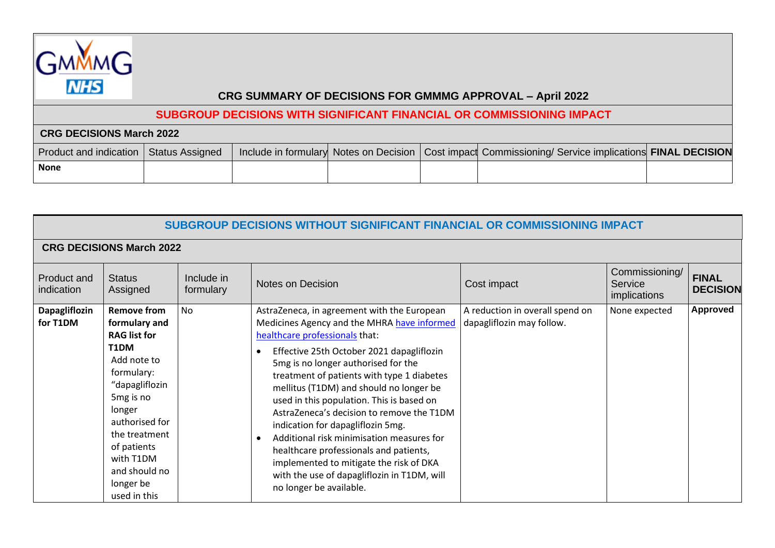

## **SUBGROUP DECISIONS WITH SIGNIFICANT FINANCIAL OR COMMISSIONING IMPACT**

| <b>CRG DECISIONS March 2022</b>          |  |  |  |  |                                                                                                         |  |  |  |
|------------------------------------------|--|--|--|--|---------------------------------------------------------------------------------------------------------|--|--|--|
| Product and indication   Status Assigned |  |  |  |  | Include in formulary Notes on Decision   Cost impact Commissioning/ Service implications FINAL DECISION |  |  |  |
| <b>None</b>                              |  |  |  |  |                                                                                                         |  |  |  |

| SUBGROUP DECISIONS WITHOUT SIGNIFICANT FINANCIAL OR COMMISSIONING IMPACT |                                                                                                                                                                                                                                                                   |                         |                                                                                                                                                                                                                                                                                                                                                                                                                                                                                                                                                                                                                                                      |                                                              |                                           |                                 |  |  |  |
|--------------------------------------------------------------------------|-------------------------------------------------------------------------------------------------------------------------------------------------------------------------------------------------------------------------------------------------------------------|-------------------------|------------------------------------------------------------------------------------------------------------------------------------------------------------------------------------------------------------------------------------------------------------------------------------------------------------------------------------------------------------------------------------------------------------------------------------------------------------------------------------------------------------------------------------------------------------------------------------------------------------------------------------------------------|--------------------------------------------------------------|-------------------------------------------|---------------------------------|--|--|--|
| <b>CRG DECISIONS March 2022</b>                                          |                                                                                                                                                                                                                                                                   |                         |                                                                                                                                                                                                                                                                                                                                                                                                                                                                                                                                                                                                                                                      |                                                              |                                           |                                 |  |  |  |
| Product and<br>indication                                                | <b>Status</b><br>Assigned                                                                                                                                                                                                                                         | Include in<br>formulary | Notes on Decision                                                                                                                                                                                                                                                                                                                                                                                                                                                                                                                                                                                                                                    | Cost impact                                                  | Commissioning/<br>Service<br>implications | <b>FINAL</b><br><b>DECISION</b> |  |  |  |
| Dapagliflozin<br>for T1DM                                                | <b>Remove from</b><br>formulary and<br><b>RAG list for</b><br>T1DM<br>Add note to<br>formulary:<br>"dapagliflozin<br>5 <sub>mg</sub> is no<br>longer<br>authorised for<br>the treatment<br>of patients<br>with T1DM<br>and should no<br>longer be<br>used in this | <b>No</b>               | AstraZeneca, in agreement with the European<br>Medicines Agency and the MHRA have informed<br>healthcare professionals that:<br>Effective 25th October 2021 dapagliflozin<br>5mg is no longer authorised for the<br>treatment of patients with type 1 diabetes<br>mellitus (T1DM) and should no longer be<br>used in this population. This is based on<br>AstraZeneca's decision to remove the T1DM<br>indication for dapagliflozin 5mg.<br>Additional risk minimisation measures for<br>healthcare professionals and patients,<br>implemented to mitigate the risk of DKA<br>with the use of dapagliflozin in T1DM, will<br>no longer be available. | A reduction in overall spend on<br>dapagliflozin may follow. | None expected                             | <b>Approved</b>                 |  |  |  |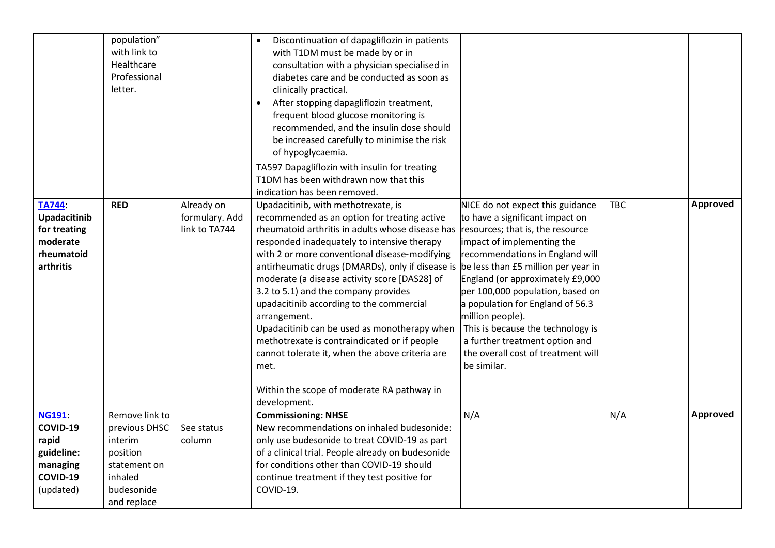|                                                                                       | population"<br>with link to<br>Healthcare<br>Professional<br>letter.                                           |                                               | Discontinuation of dapagliflozin in patients<br>with T1DM must be made by or in<br>consultation with a physician specialised in<br>diabetes care and be conducted as soon as<br>clinically practical.<br>After stopping dapagliflozin treatment,<br>frequent blood glucose monitoring is<br>recommended, and the insulin dose should<br>be increased carefully to minimise the risk<br>of hypoglycaemia.<br>TA597 Dapagliflozin with insulin for treating<br>T1DM has been withdrawn now that this<br>indication has been removed.                                                                                                                                                                            |                                                                                                                                                                                                                                                                                                                                                                                                                                      |            |          |
|---------------------------------------------------------------------------------------|----------------------------------------------------------------------------------------------------------------|-----------------------------------------------|---------------------------------------------------------------------------------------------------------------------------------------------------------------------------------------------------------------------------------------------------------------------------------------------------------------------------------------------------------------------------------------------------------------------------------------------------------------------------------------------------------------------------------------------------------------------------------------------------------------------------------------------------------------------------------------------------------------|--------------------------------------------------------------------------------------------------------------------------------------------------------------------------------------------------------------------------------------------------------------------------------------------------------------------------------------------------------------------------------------------------------------------------------------|------------|----------|
| <b>TA744</b><br>Upadacitinib<br>for treating<br>moderate<br>rheumatoid<br>arthritis   | <b>RED</b>                                                                                                     | Already on<br>formulary. Add<br>link to TA744 | Upadacitinib, with methotrexate, is<br>recommended as an option for treating active<br>rheumatoid arthritis in adults whose disease has<br>responded inadequately to intensive therapy<br>with 2 or more conventional disease-modifying<br>antirheumatic drugs (DMARDs), only if disease is be less than £5 million per year in<br>moderate (a disease activity score [DAS28] of<br>3.2 to 5.1) and the company provides<br>upadacitinib according to the commercial<br>arrangement.<br>Upadacitinib can be used as monotherapy when<br>methotrexate is contraindicated or if people<br>cannot tolerate it, when the above criteria are<br>met.<br>Within the scope of moderate RA pathway in<br>development. | NICE do not expect this guidance<br>to have a significant impact on<br>resources; that is, the resource<br>impact of implementing the<br>recommendations in England will<br>England (or approximately £9,000<br>per 100,000 population, based on<br>a population for England of 56.3<br>million people).<br>This is because the technology is<br>a further treatment option and<br>the overall cost of treatment will<br>be similar. | <b>TBC</b> | Approved |
| <b>NG191:</b><br>COVID-19<br>rapid<br>guideline:<br>managing<br>COVID-19<br>(updated) | Remove link to<br>previous DHSC<br>interim<br>position<br>statement on<br>inhaled<br>budesonide<br>and replace | See status<br>column                          | <b>Commissioning: NHSE</b><br>New recommendations on inhaled budesonide:<br>only use budesonide to treat COVID-19 as part<br>of a clinical trial. People already on budesonide<br>for conditions other than COVID-19 should<br>continue treatment if they test positive for<br>COVID-19.                                                                                                                                                                                                                                                                                                                                                                                                                      | N/A                                                                                                                                                                                                                                                                                                                                                                                                                                  | N/A        | Approved |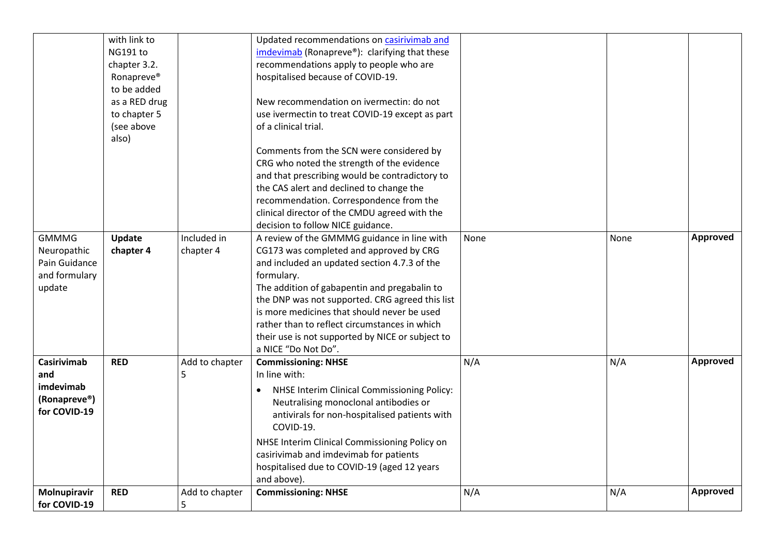|                              | with link to           |                | Updated recommendations on casirivimab and       |      |      |                 |
|------------------------------|------------------------|----------------|--------------------------------------------------|------|------|-----------------|
|                              | NG191 to               |                | imdevimab (Ronapreve®): clarifying that these    |      |      |                 |
|                              | chapter 3.2.           |                | recommendations apply to people who are          |      |      |                 |
|                              | Ronapreve <sup>®</sup> |                | hospitalised because of COVID-19.                |      |      |                 |
|                              | to be added            |                |                                                  |      |      |                 |
|                              | as a RED drug          |                | New recommendation on ivermectin: do not         |      |      |                 |
|                              | to chapter 5           |                | use ivermectin to treat COVID-19 except as part  |      |      |                 |
|                              | (see above             |                | of a clinical trial.                             |      |      |                 |
|                              | also)                  |                |                                                  |      |      |                 |
|                              |                        |                | Comments from the SCN were considered by         |      |      |                 |
|                              |                        |                | CRG who noted the strength of the evidence       |      |      |                 |
|                              |                        |                | and that prescribing would be contradictory to   |      |      |                 |
|                              |                        |                | the CAS alert and declined to change the         |      |      |                 |
|                              |                        |                | recommendation. Correspondence from the          |      |      |                 |
|                              |                        |                | clinical director of the CMDU agreed with the    |      |      |                 |
|                              |                        |                | decision to follow NICE guidance.                |      |      |                 |
| <b>GMMMG</b>                 | Update                 | Included in    | A review of the GMMMG guidance in line with      | None | None | Approved        |
| Neuropathic                  | chapter 4              | chapter 4      | CG173 was completed and approved by CRG          |      |      |                 |
| Pain Guidance                |                        |                | and included an updated section 4.7.3 of the     |      |      |                 |
| and formulary                |                        |                | formulary.                                       |      |      |                 |
| update                       |                        |                | The addition of gabapentin and pregabalin to     |      |      |                 |
|                              |                        |                | the DNP was not supported. CRG agreed this list  |      |      |                 |
|                              |                        |                | is more medicines that should never be used      |      |      |                 |
|                              |                        |                | rather than to reflect circumstances in which    |      |      |                 |
|                              |                        |                | their use is not supported by NICE or subject to |      |      |                 |
|                              |                        |                | a NICE "Do Not Do".                              |      |      |                 |
| <b>Casirivimab</b>           | <b>RED</b>             | Add to chapter | <b>Commissioning: NHSE</b>                       | N/A  | N/A  | Approved        |
| and                          |                        | 5              | In line with:                                    |      |      |                 |
| imdevimab                    |                        |                |                                                  |      |      |                 |
|                              |                        |                | NHSE Interim Clinical Commissioning Policy:      |      |      |                 |
| (Ronapreve®)<br>for COVID-19 |                        |                | Neutralising monoclonal antibodies or            |      |      |                 |
|                              |                        |                | antivirals for non-hospitalised patients with    |      |      |                 |
|                              |                        |                | COVID-19.                                        |      |      |                 |
|                              |                        |                | NHSE Interim Clinical Commissioning Policy on    |      |      |                 |
|                              |                        |                | casirivimab and imdevimab for patients           |      |      |                 |
|                              |                        |                | hospitalised due to COVID-19 (aged 12 years      |      |      |                 |
|                              |                        |                | and above).                                      |      |      |                 |
| Molnupiravir                 | <b>RED</b>             | Add to chapter | <b>Commissioning: NHSE</b>                       | N/A  | N/A  | <b>Approved</b> |
| for COVID-19                 |                        | 5              |                                                  |      |      |                 |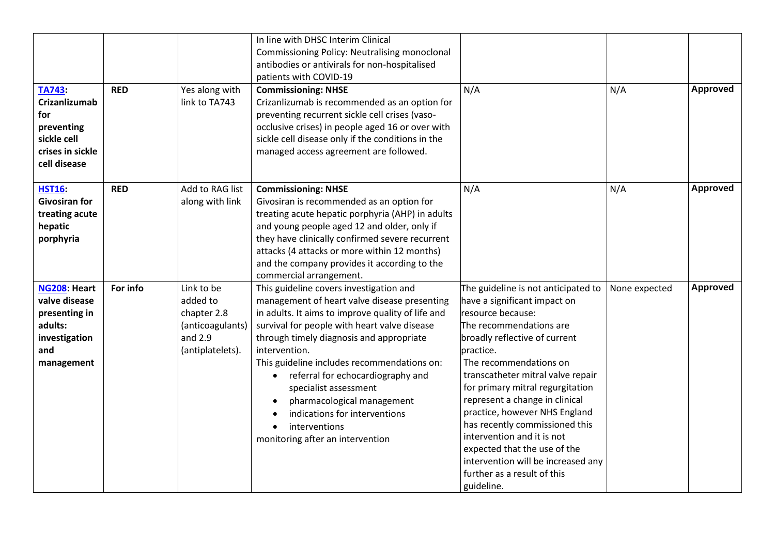| TA743:<br><b>Crizanlizumab</b><br>for<br>preventing<br>sickle cell                              | <b>RED</b> | Yes along with<br>link to TA743                                                            | In line with DHSC Interim Clinical<br>Commissioning Policy: Neutralising monoclonal<br>antibodies or antivirals for non-hospitalised<br>patients with COVID-19<br><b>Commissioning: NHSE</b><br>Crizanlizumab is recommended as an option for<br>preventing recurrent sickle cell crises (vaso-<br>occlusive crises) in people aged 16 or over with<br>sickle cell disease only if the conditions in the                                                                                                             | N/A                                                                                                                                                                                                                                                                                                                                                                                                                                                                                                                        | N/A           | Approved        |
|-------------------------------------------------------------------------------------------------|------------|--------------------------------------------------------------------------------------------|----------------------------------------------------------------------------------------------------------------------------------------------------------------------------------------------------------------------------------------------------------------------------------------------------------------------------------------------------------------------------------------------------------------------------------------------------------------------------------------------------------------------|----------------------------------------------------------------------------------------------------------------------------------------------------------------------------------------------------------------------------------------------------------------------------------------------------------------------------------------------------------------------------------------------------------------------------------------------------------------------------------------------------------------------------|---------------|-----------------|
| crises in sickle<br>cell disease                                                                |            |                                                                                            | managed access agreement are followed.                                                                                                                                                                                                                                                                                                                                                                                                                                                                               |                                                                                                                                                                                                                                                                                                                                                                                                                                                                                                                            |               |                 |
| <b>HST16</b><br><b>Givosiran for</b><br>treating acute<br>hepatic<br>porphyria                  | <b>RED</b> | Add to RAG list<br>along with link                                                         | <b>Commissioning: NHSE</b><br>Givosiran is recommended as an option for<br>treating acute hepatic porphyria (AHP) in adults<br>and young people aged 12 and older, only if<br>they have clinically confirmed severe recurrent<br>attacks (4 attacks or more within 12 months)<br>and the company provides it according to the<br>commercial arrangement.                                                                                                                                                             | N/A                                                                                                                                                                                                                                                                                                                                                                                                                                                                                                                        | N/A           | Approved        |
| NG208: Heart<br>valve disease<br>presenting in<br>adults:<br>investigation<br>and<br>management | For info   | Link to be<br>added to<br>chapter 2.8<br>(anticoagulants)<br>and $2.9$<br>(antiplatelets). | This guideline covers investigation and<br>management of heart valve disease presenting<br>in adults. It aims to improve quality of life and<br>survival for people with heart valve disease<br>through timely diagnosis and appropriate<br>intervention.<br>This guideline includes recommendations on:<br>referral for echocardiography and<br>$\bullet$<br>specialist assessment<br>pharmacological management<br>indications for interventions<br>interventions<br>$\bullet$<br>monitoring after an intervention | The guideline is not anticipated to<br>have a significant impact on<br>resource because:<br>The recommendations are<br>broadly reflective of current<br>practice.<br>The recommendations on<br>transcatheter mitral valve repair<br>for primary mitral regurgitation<br>represent a change in clinical<br>practice, however NHS England<br>has recently commissioned this<br>intervention and it is not<br>expected that the use of the<br>intervention will be increased any<br>further as a result of this<br>guideline. | None expected | <b>Approved</b> |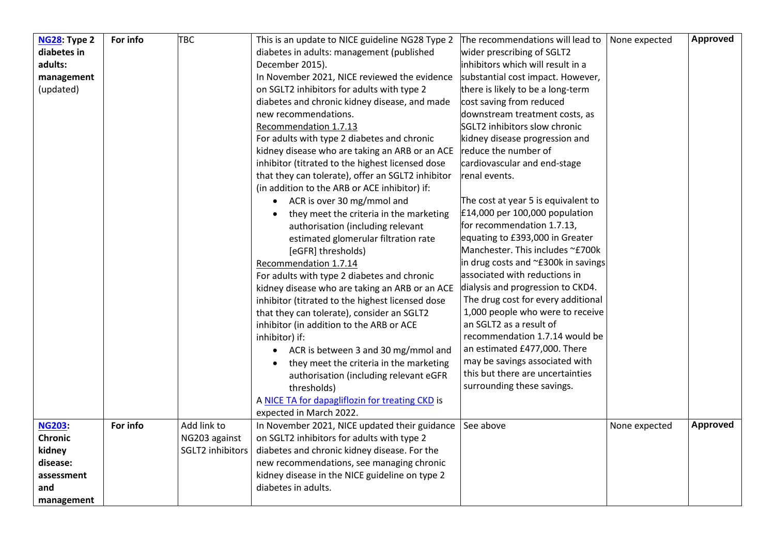| <b>NG28: Type 2</b> | For info | <b>TBC</b>       | This is an update to NICE guideline NG28 Type 2      | The recommendations will lead to    | None expected | <b>Approved</b> |
|---------------------|----------|------------------|------------------------------------------------------|-------------------------------------|---------------|-----------------|
| diabetes in         |          |                  | diabetes in adults: management (published            | wider prescribing of SGLT2          |               |                 |
| adults:             |          |                  | December 2015).                                      | inhibitors which will result in a   |               |                 |
| management          |          |                  | In November 2021, NICE reviewed the evidence         | substantial cost impact. However,   |               |                 |
| (updated)           |          |                  | on SGLT2 inhibitors for adults with type 2           | there is likely to be a long-term   |               |                 |
|                     |          |                  | diabetes and chronic kidney disease, and made        | cost saving from reduced            |               |                 |
|                     |          |                  | new recommendations.                                 | downstream treatment costs, as      |               |                 |
|                     |          |                  | Recommendation 1.7.13                                | SGLT2 inhibitors slow chronic       |               |                 |
|                     |          |                  | For adults with type 2 diabetes and chronic          | kidney disease progression and      |               |                 |
|                     |          |                  | kidney disease who are taking an ARB or an ACE       | reduce the number of                |               |                 |
|                     |          |                  | inhibitor (titrated to the highest licensed dose     | cardiovascular and end-stage        |               |                 |
|                     |          |                  | that they can tolerate), offer an SGLT2 inhibitor    | renal events.                       |               |                 |
|                     |          |                  | (in addition to the ARB or ACE inhibitor) if:        |                                     |               |                 |
|                     |          |                  | • ACR is over 30 mg/mmol and                         | The cost at year 5 is equivalent to |               |                 |
|                     |          |                  | they meet the criteria in the marketing              | £14,000 per 100,000 population      |               |                 |
|                     |          |                  | authorisation (including relevant                    | for recommendation 1.7.13,          |               |                 |
|                     |          |                  | estimated glomerular filtration rate                 | equating to £393,000 in Greater     |               |                 |
|                     |          |                  | [eGFR] thresholds)                                   | Manchester. This includes ~£700k    |               |                 |
|                     |          |                  | Recommendation 1.7.14                                | in drug costs and ~£300k in savings |               |                 |
|                     |          |                  | For adults with type 2 diabetes and chronic          | associated with reductions in       |               |                 |
|                     |          |                  | kidney disease who are taking an ARB or an ACE       | dialysis and progression to CKD4.   |               |                 |
|                     |          |                  | inhibitor (titrated to the highest licensed dose     | The drug cost for every additional  |               |                 |
|                     |          |                  | that they can tolerate), consider an SGLT2           | 1,000 people who were to receive    |               |                 |
|                     |          |                  | inhibitor (in addition to the ARB or ACE             | an SGLT2 as a result of             |               |                 |
|                     |          |                  | inhibitor) if:                                       | recommendation 1.7.14 would be      |               |                 |
|                     |          |                  | ACR is between 3 and 30 mg/mmol and<br>$\bullet$     | an estimated £477,000. There        |               |                 |
|                     |          |                  | they meet the criteria in the marketing<br>$\bullet$ | may be savings associated with      |               |                 |
|                     |          |                  | authorisation (including relevant eGFR               | this but there are uncertainties    |               |                 |
|                     |          |                  | thresholds)                                          | surrounding these savings.          |               |                 |
|                     |          |                  | A NICE TA for dapagliflozin for treating CKD is      |                                     |               |                 |
|                     |          |                  | expected in March 2022.                              |                                     |               |                 |
| <b>NG203:</b>       | For info | Add link to      | In November 2021, NICE updated their guidance        | See above                           | None expected | <b>Approved</b> |
| <b>Chronic</b>      |          | NG203 against    | on SGLT2 inhibitors for adults with type 2           |                                     |               |                 |
| kidney              |          | SGLT2 inhibitors | diabetes and chronic kidney disease. For the         |                                     |               |                 |
| disease:            |          |                  | new recommendations, see managing chronic            |                                     |               |                 |
| assessment          |          |                  | kidney disease in the NICE guideline on type 2       |                                     |               |                 |
| and                 |          |                  | diabetes in adults.                                  |                                     |               |                 |
| management          |          |                  |                                                      |                                     |               |                 |